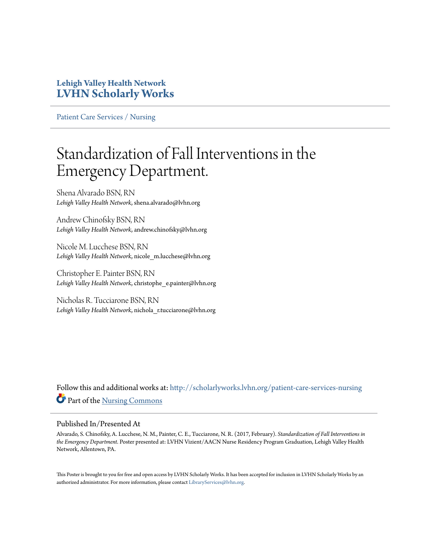### **Lehigh Valley Health Network [LVHN Scholarly Works](http://scholarlyworks.lvhn.org?utm_source=scholarlyworks.lvhn.org%2Fpatient-care-services-nursing%2F742&utm_medium=PDF&utm_campaign=PDFCoverPages)**

[Patient Care Services / Nursing](http://scholarlyworks.lvhn.org/patient-care-services-nursing?utm_source=scholarlyworks.lvhn.org%2Fpatient-care-services-nursing%2F742&utm_medium=PDF&utm_campaign=PDFCoverPages)

### Standardization of Fall Interventions in the Emergency Department.

Shena Alvarado BSN, RN *Lehigh Valley Health Network*, shena.alvarado@lvhn.org

Andrew Chinofsky BSN, RN *Lehigh Valley Health Network*, andrew.chinofsky@lvhn.org

Nicole M. Lucchese BSN, RN *Lehigh Valley Health Network*, nicole\_m.lucchese@lvhn.org

Christopher E. Painter BSN, RN *Lehigh Valley Health Network*, christophe\_e.painter@lvhn.org

Nicholas R. Tucciarone BSN, RN Lehigh Valley Health Network, nichola\_r.tucciarone@lvhn.org

Follow this and additional works at: [http://scholarlyworks.lvhn.org/patient-care-services-nursing](http://scholarlyworks.lvhn.org/patient-care-services-nursing?utm_source=scholarlyworks.lvhn.org%2Fpatient-care-services-nursing%2F742&utm_medium=PDF&utm_campaign=PDFCoverPages) Part of the [Nursing Commons](http://network.bepress.com/hgg/discipline/718?utm_source=scholarlyworks.lvhn.org%2Fpatient-care-services-nursing%2F742&utm_medium=PDF&utm_campaign=PDFCoverPages)

### Published In/Presented At

Alvarado, S. Chinofsky, A. Lucchese, N. M., Painter, C. E., Tucciarone, N. R. (2017, February). *Standardization of Fall Interventions in the Emergency Department*. Poster presented at: LVHN Vizient/AACN Nurse Residency Program Graduation, Lehigh Valley Health Network, Allentown, PA.

This Poster is brought to you for free and open access by LVHN Scholarly Works. It has been accepted for inclusion in LVHN Scholarly Works by an authorized administrator. For more information, please contact [LibraryServices@lvhn.org.](mailto:LibraryServices@lvhn.org)